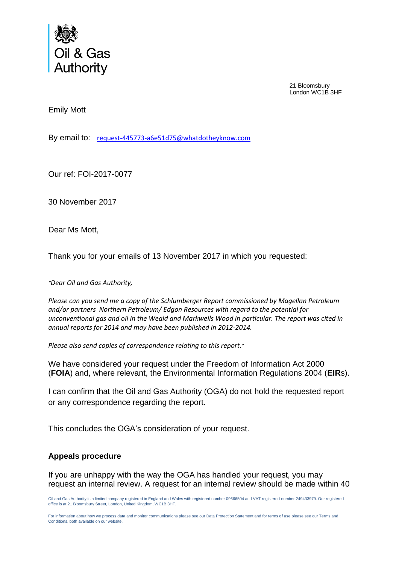

21 Bloomsbury London WC1B 3HF

Emily Mott

By email to: [request-445773-a6e51d75@whatdotheyknow.com](mailto:xxxxxxxxxxxxxxxxxxxxxxx@xxxxxxxxxxxxxx.xxx)

Our ref: FOI-2017-0077

30 November 2017

Dear Ms Mott,

Thank you for your emails of 13 November 2017 in which you requested:

*"Dear Oil and Gas Authority,*

*Please can you send me a copy of the Schlumberger Report commissioned by Magellan Petroleum and/or partners Northern Petroleum/ Edgon Resources with regard to the potential for unconventional gas and oil in the Weald and Markwells Wood in particular. The report was cited in annual reports for 2014 and may have been published in 2012-2014.*

*Please also send copies of correspondence relating to this report."*

We have considered your request under the Freedom of Information Act 2000 (**FOIA**) and, where relevant, the Environmental Information Regulations 2004 (**EIR**s).

I can confirm that the Oil and Gas Authority (OGA) do not hold the requested report or any correspondence regarding the report.

This concludes the OGA's consideration of your request.

## **Appeals procedure**

If you are unhappy with the way the OGA has handled your request, you may request an internal review. A request for an internal review should be made within 40

Oil and Gas Authority is a limited company registered in England and Wales with registered number 09666504 and VAT registered number 249433979. Our registered office is at 21 Bloomsbury Street, London, United Kingdom, WC1B 3HF.

For information about how we process data and monitor communications please see our Data Protection Statement and for terms of use please see our Terms and Conditions, both available on our website.